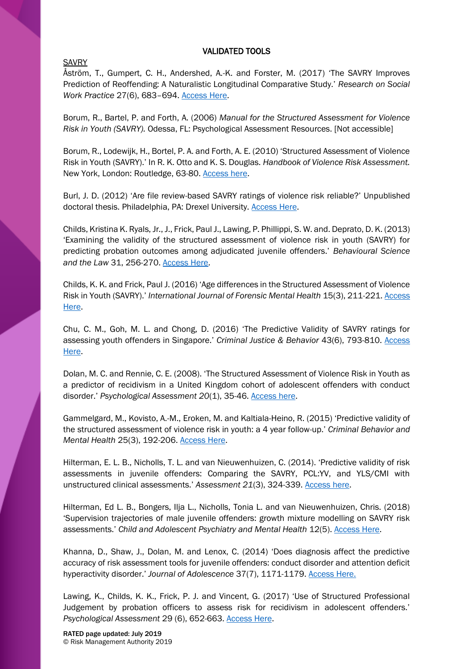#### VALIDATED TOOLS

#### SAVRY

Åström, T., Gumpert, C. H., Andershed, A.-K. and Forster, M. (2017) 'The SAVRY Improves Prediction of Reoffending: A Naturalistic Longitudinal Comparative Study.' *Research on Social Work Practice* 27(6), 683–694. [Access Here.](https://journals.sagepub.com/doi/abs/10.1177/1049731515605184)

Borum, R., Bartel, P. and Forth, A. (2006) *Manual for the Structured Assessment for Violence Risk in Youth (SAVRY).* Odessa, FL: Psychological Assessment Resources. [Not accessible]

Borum, R., Lodewijk, H., Bortel, P. A. and Forth, A. E. (2010) 'Structured Assessment of Violence Risk in Youth (SAVRY).' In R. K. Otto and K. S. Douglas. *Handbook of Violence Risk Assessment.*  New York, London: Routledge, 63-80. [Access here.](https://www.crcpress.com/Handbook-of-Violence-Risk-Assessment/Otto-Douglas/p/book/9781138872882)

Burl, J. D. (2012) 'Are file review-based SAVRY ratings of violence risk reliable?' Unpublished doctoral thesis. Philadelphia, PA: Drexel University. [Access Here.](https://idea.library.drexel.edu/islandora/object/idea%3A3967)

Childs, Kristina K. Ryals, Jr., J., Frick, Paul J., Lawing, P. Phillippi, S. W. and. Deprato, D. K. (2013) 'Examining the validity of the structured assessment of violence risk in youth (SAVRY) for predicting probation outcomes among adjudicated juvenile offenders.' *Behavioural Science and the Law* 31, 256-270. [Access Here.](https://onlinelibrary.wiley.com/doi/abs/10.1002/bsl.2060)

Childs, K. K. and Frick, Paul J. (2016) 'Age differences in the Structured Assessment of Violence Risk in Youth (SAVRY).' *International Journal of Forensic Mental Health* 15(3), 211-221[. Access](https://www.tandfonline.com/doi/abs/10.1080/14999013.2016.1152618?journalCode=ufmh20)  [Here.](https://www.tandfonline.com/doi/abs/10.1080/14999013.2016.1152618?journalCode=ufmh20)

Chu, C. M., Goh, M. L. and Chong, D. (2016) 'The Predictive Validity of SAVRY ratings for assessing youth offenders in Singapore.' *Criminal Justice & Behavior* 43(6), 793-810. [Access](https://onlinelibrary.wiley.com/doi/abs/10.1002/bsl.2060)  [Here.](https://onlinelibrary.wiley.com/doi/abs/10.1002/bsl.2060)

Dolan, M. C. and Rennie, C. E. (2008). 'The Structured Assessment of Violence Risk in Youth as a predictor of recidivism in a United Kingdom cohort of adolescent offenders with conduct disorder.' *Psychological Assessment 20*(1), 35-46. [Access here.](http://psycnet.apa.org/record/2008-02315-004)

Gammelgard, M., Kovisto, A.-M., Eroken, M. and Kaltiala-Heino, R. (2015) 'Predictive validity of the structured assessment of violence risk in youth: a 4 year follow-up.' *Criminal Behavior and Mental Health* 25(3), 192-206. [Access Here.](https://onlinelibrary.wiley.com/doi/abs/10.1002/cbm.1921)

Hilterman, E. L. B., Nicholls, T. L. and van Nieuwenhuizen, C. (2014). 'Predictive validity of risk assessments in juvenile offenders: Comparing the SAVRY, PCL:YV, and YLS/CMI with unstructured clinical assessments.' *Assessment 21*(3), 324-339. [Access here.](http://psycnet.apa.org/record/2014-21340-007)

Hilterman, Ed L. B., Bongers, Ilja L., Nicholls, Tonia L. and van Nieuwenhuizen, Chris. (2018) 'Supervision trajectories of male juvenile offenders: growth mixture modelling on SAVRY risk assessments.' *Child and Adolescent Psychiatry and Mental Health* 12(5). [Access Here.](https://psycnet.apa.org/record/2018-08955-001)

Khanna, D., Shaw, J., Dolan, M. and Lenox, C. (2014) 'Does diagnosis affect the predictive accuracy of risk assessment tools for juvenile offenders: conduct disorder and attention deficit hyperactivity disorder.' *Journal of Adolescence* 37(7), 1171-1179. [Access Here.](https://www.ncbi.nlm.nih.gov/pubmed/25173178)

Lawing, K., Childs, K. K., Frick, P. J. and Vincent, G. (2017) 'Use of Structured Professional Judgement by probation officers to assess risk for recidivism in adolescent offenders.' *Psychological Assessment* 29 (6), 652-663. [Access Here.](http://psycnet.apa.org/record/2017-24382-006)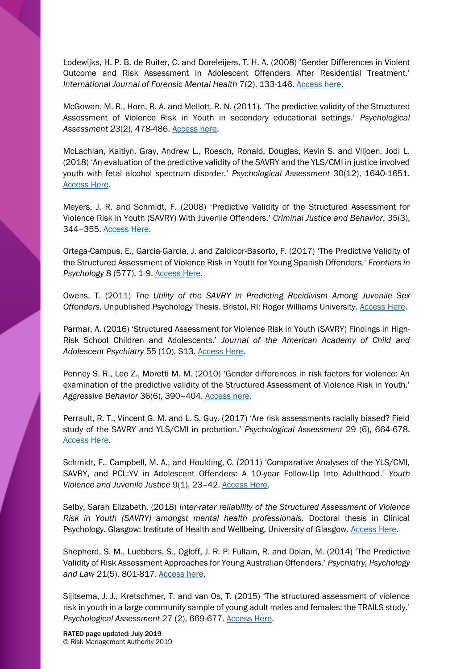Lodewijks, H. P. B. de Ruiter, C. and Doreleijers, T. H. A. (2008) 'Gender Differences in Violent Outcome and Risk Assessment in Adolescent Offenders After Residential Treatment.' *International Journal of Forensic Mental Health* 7(2), 133-146. [Access here.](https://www.tandfonline.com/doi/abs/10.1080/14999013.2008.9914410)

McGowan, M. R., Horn, R. A. and Mellott, R. N. (2011). 'The predictive validity of the Structured Assessment of Violence Risk in Youth in secondary educational settings.' *Psychological Assessment 23*(2), 478-486[. Access here.](http://psycnet.apa.org/record/2011-04637-001)

McLachlan, Kaitlyn, Gray, Andrew L., Roesch, Ronald, Douglas, Kevin S. and Viljoen, Jodi L. (2018) 'An evaluation of the predictive validity of the SAVRY and the YLS/CMI in justice involved youth with fetal alcohol spectrum disorder.' *Psychological Assessment* 30(12), 1640-1651. [Access Here.](https://psycnet.apa.org/record/2018-30939-001)

Meyers, J. R. and Schmidt, F. (2008) 'Predictive Validity of the Structured Assessment for Violence Risk in Youth (SAVRY) With Juvenile Offenders.' *Criminal Justice and Behavior*, *35*(3), 344–355. [Access Here.](https://journals.sagepub.com/doi/10.1177/0093854807311972)

Ortega-Campus, E., Garcia-Garcia, J. and Zaldicor-Basorto, F. (2017) 'The Predictive Validity of the Structured Assessment of Violence Risk in Youth for Young Spanish Offenders.' *Frontiers in Psychology* 8 (577), 1-9. [Access Here.](https://www.frontiersin.org/articles/10.3389/fpsyg.2017.00577/full)

Owens, T. (2011) *The Utility of the SAVRY in Predicting Recidivism Among Juvenile Sex Offenders.* Unpublished Psychology Thesis. Bristol, RI: Roger Williams University. [Access Here.](https://docs.rwu.edu/psych_thesis/18/)

Parmar, A. (2016) 'Structured Assessment for Violence Risk in Youth (SAVRY) Findings in High-Risk School Children and Adolescents.' *Journal of the American Academy of Child and Adolescent Psychiatry* 55 (10), S13. [Access Here.](https://www.jaacap.org/article/S0890-8567(16)30831-0/fulltext)

Penney S. R., Lee Z., Moretti M. M. (2010) 'Gender differences in risk factors for violence: An examination of the predictive validity of the Structured Assessment of Violence Risk in Youth.' *Aggressive Behavior* 36(6), 390–404. [Access here.](https://www.ncbi.nlm.nih.gov/pubmed/20623508)

Perrault, R. T., Vincent G. M. and L. S. Guy. (2017) 'Are risk assessments racially biased? Field study of the SAVRY and YLS/CMI in probation.' *Psychological Assessment* 29 (6), 664-678. [Access Here.](http://psycnet.apa.org/record/2017-24382-007)

Schmidt, F., Campbell, M. A., and Houlding, C. (2011) 'Comparative Analyses of the YLS/CMI, SAVRY, and PCL:YV in Adolescent Offenders: A 10-year Follow-Up Into Adulthood.' *Youth Violence and Juvenile Justice* 9(1), 23–42. [Access Here.](https://journals.sagepub.com/doi/abs/10.1177/1541204010371793)

Selby, Sarah Elizabeth. (2018) *Inter-rater reliability of the Structured Assessment of Violence Risk in Youth (SAVRY) amongst mental health professionals.* Doctoral thesis in Clinical Psychology. Glasgow: Institute of Health and Wellbeing, University of Glasgow. [Access Here.](http://theses.gla.ac.uk/30869/)

Shepherd, S. M., Luebbers, S., Ogloff, J. R. P. Fullam, R. and Dolan, M. (2014) 'The Predictive Validity of Risk Assessment Approaches for Young Australian Offenders.' *Psychiatry, Psychology and Law* 21(5), 801-817. [Access here.](https://www.tandfonline.com/doi/abs/10.1080/13218719.2014.904262)

Sijitsema, J. J., Kretschmer, T. and van Os, T. (2015) 'The structured assessment of violence risk in youth in a large community sample of young adult males and females: the TRAILS study.' *Psychological Assessment* 27 (2), 669-677. [Access Here.](http://psycnet.apa.org/record/2015-00013-001)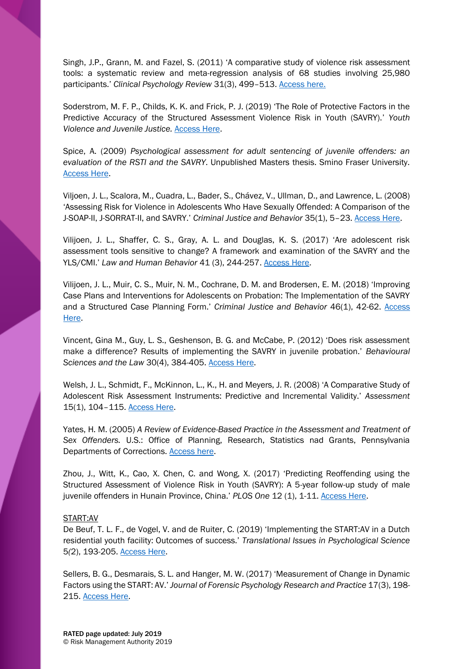Singh, J.P., Grann, M. and Fazel, S. (2011) 'A comparative study of violence risk assessment tools: a systematic review and meta-regression analysis of 68 studies involving 25,980 participants.' *Clinical Psychology Review* 31(3), 499–513. [Access here.](https://www.ncbi.nlm.nih.gov/pubmed/21255891)

Soderstrom, M. F. P., Childs, K. K. and Frick, P. J. (2019) 'The Role of Protective Factors in the Predictive Accuracy of the Structured Assessment Violence Risk in Youth (SAVRY).' *Youth Violence and Juvenile Justice.* [Access Here.](https://journals.sagepub.com/doi/abs/10.1177/1541204019837329?journalCode=yvja)

Spice, A. (2009) *Psychological assessment for adult sentencing of juvenile offenders: an evaluation of the RSTI and the SAVRY*. Unpublished Masters thesis. Smino Fraser University. [Access Here.](http://summit.sfu.ca/item/9907)

Viljoen, J. L., Scalora, M., Cuadra, L., Bader, S., Chávez, V., Ullman, D., and Lawrence, L. (2008) 'Assessing Risk for Violence in Adolescents Who Have Sexually Offended: A Comparison of the J-SOAP-II, J-SORRAT-II, and SAVRY.' *Criminal Justice and Behavior* 35(1), 5–23. [Access Here.](https://journals.sagepub.com/doi/abs/10.1177/0093854807307521?journalCode=cjbb)

Vilijoen, J. L., Shaffer, C. S., Gray, A. L. and Douglas, K. S. (2017) 'Are adolescent risk assessment tools sensitive to change? A framework and examination of the SAVRY and the YLS/CMI.' *Law and Human Behavior* 41 (3), 244-257. [Access Here.](http://psycnet.apa.org/record/2017-15320-001)

Vilijoen, J. L., Muir, C. S., Muir, N. M., Cochrane, D. M. and Brodersen, E. M. (2018) 'Improving Case Plans and Interventions for Adolescents on Probation: The Implementation of the SAVRY and a Structured Case Planning Form.' *Criminal Justice and Behavior* 46(1), 42-62. [Access](https://journals.sagepub.com/doi/abs/10.1177/0093854818799379)  [Here.](https://journals.sagepub.com/doi/abs/10.1177/0093854818799379)

Vincent, Gina M., Guy, L. S., Geshenson, B. G. and McCabe, P. (2012) 'Does risk assessment make a difference? Results of implementing the SAVRY in juvenile probation.' *Behavioural Sciences and the Law* 30(4), 384-405. [Access Here.](https://onlinelibrary.wiley.com/doi/abs/10.1002/bsl.2014)

Welsh, J. L., Schmidt, F., McKinnon, L., K., H. and Meyers, J. R. (2008) 'A Comparative Study of Adolescent Risk Assessment Instruments: Predictive and Incremental Validity.' *Assessment* 15(1), 104–115. [Access Here.](https://journals.sagepub.com/doi/abs/10.1177/1073191107307966)

Yates, H. M. (2005) *A Review of Evidence-Based Practice in the Assessment and Treatment of Sex Offenders.* U.S.: Office of Planning, Research, Statistics nad Grants, Pennsylvania Departments of Corrections. [Access here.](http://ilvoices.org/uploads/3/4/1/6/34164648/pa-recidivism.pdf)

Zhou, J., Witt, K., Cao, X. Chen, C. and Wong, X. (2017) 'Predicting Reoffending using the Structured Assessment of Violence Risk in Youth (SAVRY): A 5-year follow-up study of male juvenile offenders in Hunain Province, China.' *PLOS One* 12 (1), 1-11[. Access Here.](https://journals.plos.org/plosone/article?id=10.1371/journal.pone.0169251)

# START:AV

De Beuf, T. L. F., de Vogel, V. and de Ruiter, C. (2019) 'Implementing the START:AV in a Dutch residential youth facility: Outcomes of success.' *Translational Issues in Psychological Science*  5*(*2), 193-205. [Access Here.](https://psycnet.apa.org/record/2019-31170-008)

Sellers, B. G., Desmarais, S. L. and Hanger, M. W. (2017) 'Measurement of Change in Dynamic Factors using the START: AV.' *Journal of Forensic Psychology Research and Practice* 17(3), 198- 215. [Access Here.](https://www.tandfonline.com/doi/abs/10.1080/24732850.2017.1317560)